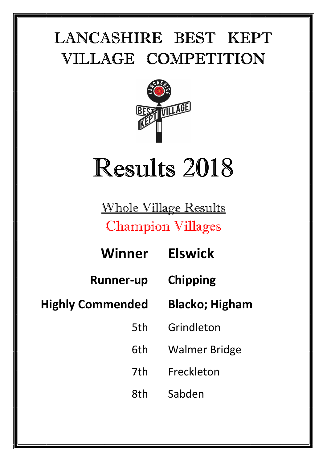<u>=</u>



## Results 2018

Whole Village Results Champion Villages

| Winner                  | <b>Elswick</b>        |
|-------------------------|-----------------------|
| <b>Runner-up</b>        | <b>Chipping</b>       |
| <b>Highly Commended</b> | <b>Blacko; Higham</b> |
| 5th                     | Grindleton            |
| 6th                     | <b>Walmer Bridge</b>  |
| 7th                     | Freckleton            |
| 8th                     | Sabden                |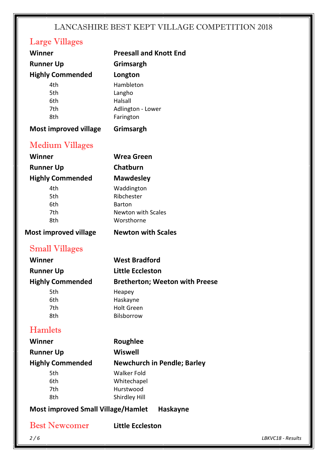#### Large Villages

| <b>Winner</b>                             | <b>Preesall and Knott End</b>           |
|-------------------------------------------|-----------------------------------------|
| <b>Runner Up</b>                          | Grimsargh                               |
| <b>Highly Commended</b>                   | Longton                                 |
| 4th                                       | Hambleton                               |
| 5th                                       | Langho                                  |
| 6th                                       | Halsall                                 |
| 7th                                       | Adlington - Lower                       |
| 8th                                       | Farington                               |
| <b>Most improved village</b>              | Grimsargh                               |
| <b>Medium Villages</b>                    |                                         |
| <b>Winner</b>                             | <b>Wrea Green</b>                       |
| <b>Runner Up</b>                          | Chatburn                                |
| <b>Highly Commended</b>                   | <b>Mawdesley</b>                        |
| 4th                                       | Waddington                              |
| 5th                                       | Ribchester                              |
| 6th                                       | <b>Barton</b>                           |
| 7th<br>8th                                | <b>Newton with Scales</b><br>Worsthorne |
|                                           |                                         |
| <b>Most improved village</b>              | <b>Newton with Scales</b>               |
| <b>Small Villages</b>                     |                                         |
| <b>Winner</b>                             | <b>West Bradford</b>                    |
| <b>Runner Up</b>                          | <b>Little Eccleston</b>                 |
| <b>Highly Commended</b>                   | <b>Bretherton; Weeton with Preese</b>   |
| 5th                                       | Heapey                                  |
| 6th                                       | Haskayne                                |
| 7th                                       | <b>Holt Green</b>                       |
| 8th                                       | Bilsborrow                              |
| <b>Hamlets</b>                            |                                         |
| Winner                                    | <b>Roughlee</b>                         |
| <b>Runner Up</b>                          | <b>Wiswell</b>                          |
| <b>Highly Commended</b>                   | <b>Newchurch in Pendle; Barley</b>      |
| 5th                                       | <b>Walker Fold</b>                      |
| 6th                                       | Whitechapel                             |
| 7th<br>8th                                | Hurstwood<br>Shirdley Hill              |
| <b>Most improved Small Village/Hamlet</b> | <b>Haskayne</b>                         |
|                                           |                                         |
| <b>Best Newcomer</b>                      | <b>Little Eccleston</b>                 |
| 2/6                                       |                                         |

*2 / 6 LBKVC18 - Results*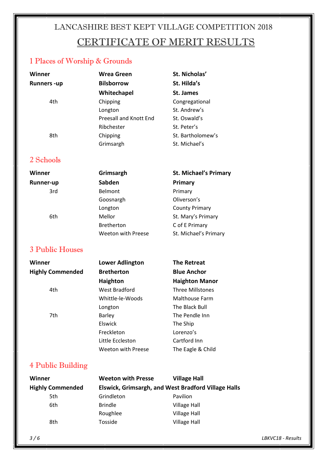#### LANCASHIRE BEST KEPT VILLAGE COMPETITION 2018 CERTIFICATE OF MERIT RESULTS

#### 1 Places of Worship & Grounds

| Winner            | Wrea Green             | St. Nicholas'     |
|-------------------|------------------------|-------------------|
| <b>Runners-up</b> | <b>Bilsborrow</b>      | St. Hilda's       |
|                   | Whitechapel            | St. James         |
| 4th               | Chipping               | Congregational    |
|                   | Longton                | St. Andrew's      |
|                   | Preesall and Knott End | St. Oswald's      |
|                   | Ribchester             | St. Peter's       |
| 8th               | Chipping               | St. Bartholomew's |
|                   | Grimsargh              | St. Michael's     |

#### 2 Schools

Runner-up Sabd

# Winner **Grimsargh** St. Michael's Primary

| Runner-up | Sabden                    | Primary               |
|-----------|---------------------------|-----------------------|
| 3rd       | <b>Belmont</b>            | Primary               |
|           | Goosnargh                 | Oliverson's           |
|           | Longton                   | <b>County Primary</b> |
| 6th       | Mellor                    | St. Mary's Primary    |
|           | <b>Bretherton</b>         | C of E Primary        |
|           | <b>Weeton with Preese</b> | St. Michael's Primary |

#### 3 Public Houses

| Winner                  | <b>Lower Adlington</b> | <b>The Retreat</b>      |
|-------------------------|------------------------|-------------------------|
| <b>Highly Commended</b> | <b>Bretherton</b>      | <b>Blue Anchor</b>      |
|                         | <b>Haighton</b>        | <b>Haighton Manor</b>   |
| 4th                     | West Bradford          | <b>Three Millstones</b> |
|                         | Whittle-le-Woods       | Malthouse Farm          |
|                         | Longton                | The Black Bull          |
| 7th                     | <b>Barley</b>          | The Pendle Inn          |
|                         | <b>Elswick</b>         | The Ship                |
|                         | Freckleton             | Lorenzo's               |
|                         | Little Eccleston       | Cartford Inn            |
|                         | Weeton with Preese     | The Eagle & Child       |

#### 4 Public Building

| Winner                  | <b>Weeton with Presse</b>                           | <b>Village Hall</b> |
|-------------------------|-----------------------------------------------------|---------------------|
| <b>Highly Commended</b> | Elswick, Grimsargh, and West Bradford Village Halls |                     |
| 5th                     | Grindleton                                          | Pavilion            |
| 6th                     | <b>Brindle</b>                                      | <b>Village Hall</b> |
|                         | Roughlee                                            | <b>Village Hall</b> |
| 8th                     | Tosside                                             | <b>Village Hall</b> |

*3 / 6 LBKVC18 - Results*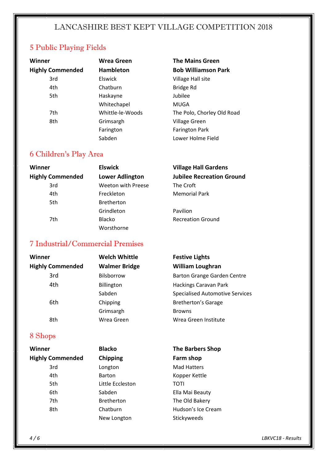#### 5 Public Playing Fields

| Winner                  | <b>Wrea Green</b> | <b>The Mains Green</b>     |
|-------------------------|-------------------|----------------------------|
| <b>Highly Commended</b> | <b>Hambleton</b>  | <b>Bob Williamson Park</b> |
| 3rd                     | <b>Elswick</b>    | Village Hall site          |
| 4th                     | Chatburn          | Bridge Rd                  |
| 5th                     | Haskayne          | Jubilee                    |
|                         | Whitechapel       | MUGA                       |
| 7th                     | Whittle-le-Woods  | The Polo, Chorley Old Road |
| 8th                     | Grimsargh         | <b>Village Green</b>       |
|                         | Farington         | <b>Farington Park</b>      |
|                         | Sabden            | Lower Holme Field          |

#### 6 Children's Play Area

| Winner                  | <b>Elswick</b>         | <b>Village Hall Gardens</b>      |
|-------------------------|------------------------|----------------------------------|
| <b>Highly Commended</b> | <b>Lower Adlington</b> | <b>Jubilee Recreation Ground</b> |
| 3rd                     | Weeton with Preese     | The Croft                        |
| 4th                     | Freckleton             | <b>Memorial Park</b>             |
| 5th                     | <b>Bretherton</b>      |                                  |
|                         | Grindleton             | Pavilion                         |
| 7th                     | <b>Blacko</b>          | <b>Recreation Ground</b>         |
|                         | Worsthorne             |                                  |

#### 7 Industrial/Commercial Premises

| Winner                  | <b>Welch Whittle</b> | <b>Festive Lights</b>                  |
|-------------------------|----------------------|----------------------------------------|
| <b>Highly Commended</b> | <b>Walmer Bridge</b> | <b>William Loughran</b>                |
| 3rd                     | Bilsborrow           | Barton Grange Garden Centre            |
| 4th                     | Billington           | Hackings Caravan Park                  |
|                         | Sabden               | <b>Specialised Automotive Services</b> |
| 6th                     | Chipping             | <b>Bretherton's Garage</b>             |
|                         | Grimsargh            | <b>Browns</b>                          |
| 8th                     | Wrea Green           | Wrea Green Institute                   |

#### 8 Shops

| Winner                  | <b>Blacko</b>     | <b>The Barbers Shop</b> |
|-------------------------|-------------------|-------------------------|
| <b>Highly Commended</b> | Chipping          | Farm shop               |
| 3rd                     | Longton           | <b>Mad Hatters</b>      |
| 4th                     | <b>Barton</b>     | Kopper Kettle           |
| 5th                     | Little Eccleston  | TOTI                    |
| 6th                     | Sabden            | Ella Mai Beauty         |
| 7th                     | <b>Bretherton</b> | The Old Bakery          |
| 8th                     | Chatburn          | Hudson's Ice Cream      |
|                         | New Longton       | Stickyweeds             |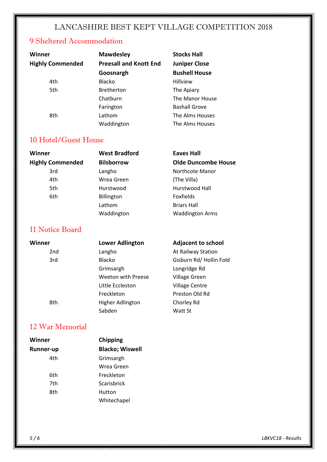#### 9 Sheltered Accommodation

| Winner                  | <b>Mawdesley</b>              | <b>Stocks Hall</b>   |
|-------------------------|-------------------------------|----------------------|
| <b>Highly Commended</b> | <b>Preesall and Knott End</b> | <b>Juniper Close</b> |
|                         | Goosnargh                     | <b>Bushell House</b> |
| 4th                     | Blacko                        | <b>Hillview</b>      |
| 5th                     | <b>Bretherton</b>             | The Apiary           |
|                         | Chatburn                      | The Manor House      |
|                         | Farington                     | <b>Bashall Grove</b> |
| 8th                     | Lathom                        | The Alms Houses      |
|                         | Waddington                    | The Alms Houses      |

#### 10 Hotel/Guest House

| Winner                  | <b>West Bradford</b> | <b>Eaves Hall</b>          |
|-------------------------|----------------------|----------------------------|
| <b>Highly Commended</b> | <b>Bilsborrow</b>    | <b>Olde Duncombe House</b> |
| 3rd                     | Langho               | Northcote Manor            |
| 4th                     | Wrea Green           | (The Villa)                |
| 5th                     | Hurstwood            | Hurstwood Hall             |
| 6th                     | Billington           | <b>Foxfields</b>           |
|                         | Lathom               | <b>Briars Hall</b>         |
|                         | Waddington           | <b>Waddington Arms</b>     |

#### 11 Notice Board

| Winner          | <b>Lower Adlington</b> | <b>Adjacent to school</b> |
|-----------------|------------------------|---------------------------|
| 2 <sub>nd</sub> | Langho                 | At Railway Station        |
| 3rd             | <b>Blacko</b>          | Gisburn Rd/ Hollin Fold   |
|                 | Grimsargh              | Longridge Rd              |
|                 | Weeton with Preese     | <b>Village Green</b>      |
|                 | Little Eccleston       | <b>Village Centre</b>     |
|                 | Freckleton             | Preston Old Rd            |
| 8th             | Higher Adlington       | Chorley Rd                |
|                 | Sabden                 | Watt St                   |

#### 12 War Memorial

| Winner           | Chipping               |
|------------------|------------------------|
| <b>Runner-up</b> | <b>Blacko; Wiswell</b> |
| 4th              | Grimsargh              |
|                  | Wrea Green             |
| 6th              | Freckleton             |
| 7th              | Scarisbrick            |
| 8th              | Hutton                 |
|                  | Whitechapel            |